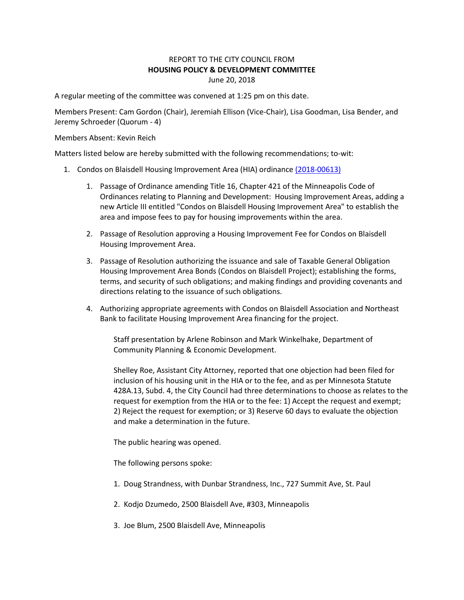## REPORT TO THE CITY COUNCIL FROM **HOUSING POLICY & DEVELOPMENT COMMITTEE** June 20, 2018

A regular meeting of the committee was convened at 1:25 pm on this date.

Members Present: Cam Gordon (Chair), Jeremiah Ellison (Vice-Chair), Lisa Goodman, Lisa Bender, and Jeremy Schroeder (Quorum - 4)

Members Absent: Kevin Reich

Matters listed below are hereby submitted with the following recommendations; to-wit:

- 1. Condos on Blaisdell Housing Improvement Area (HIA) ordinanc[e \(2018-00613\)](https://lims.minneapolismn.gov/File/2018-00613)
	- 1. Passage of Ordinance amending Title 16, Chapter 421 of the Minneapolis Code of Ordinances relating to Planning and Development: Housing Improvement Areas, adding a new Article III entitled "Condos on Blaisdell Housing Improvement Area" to establish the area and impose fees to pay for housing improvements within the area.
	- 2. Passage of Resolution approving a Housing Improvement Fee for Condos on Blaisdell Housing Improvement Area.
	- 3. Passage of Resolution authorizing the issuance and sale of Taxable General Obligation Housing Improvement Area Bonds (Condos on Blaisdell Project); establishing the forms, terms, and security of such obligations; and making findings and providing covenants and directions relating to the issuance of such obligations.
	- 4. Authorizing appropriate agreements with Condos on Blaisdell Association and Northeast Bank to facilitate Housing Improvement Area financing for the project.

Staff presentation by Arlene Robinson and Mark Winkelhake, Department of Community Planning & Economic Development.

Shelley Roe, Assistant City Attorney, reported that one objection had been filed for inclusion of his housing unit in the HIA or to the fee, and as per Minnesota Statute 428A.13, Subd. 4, the City Council had three determinations to choose as relates to the request for exemption from the HIA or to the fee: 1) Accept the request and exempt; 2) Reject the request for exemption; or 3) Reserve 60 days to evaluate the objection and make a determination in the future.

The public hearing was opened.

The following persons spoke:

- 1. Doug Strandness, with Dunbar Strandness, Inc., 727 Summit Ave, St. Paul
- 2. Kodjo Dzumedo, 2500 Blaisdell Ave, #303, Minneapolis
- 3. Joe Blum, 2500 Blaisdell Ave, Minneapolis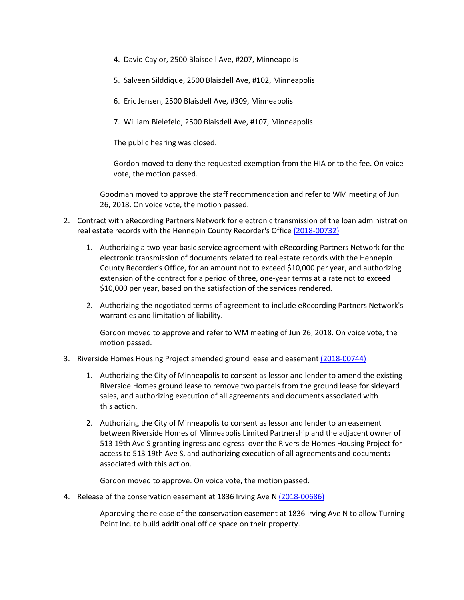- 4. David Caylor, 2500 Blaisdell Ave, #207, Minneapolis
- 5. Salveen Silddique, 2500 Blaisdell Ave, #102, Minneapolis
- 6. Eric Jensen, 2500 Blaisdell Ave, #309, Minneapolis
- 7. William Bielefeld, 2500 Blaisdell Ave, #107, Minneapolis

The public hearing was closed.

Gordon moved to deny the requested exemption from the HIA or to the fee. On voice vote, the motion passed.

Goodman moved to approve the staff recommendation and refer to WM meeting of Jun 26, 2018. On voice vote, the motion passed.

- 2. Contract with eRecording Partners Network for electronic transmission of the loan administration real estate records with the Hennepin County Recorder's Office [\(2018-00732\)](https://lims.minneapolismn.gov/File/2018-00732)
	- 1. Authorizing a two-year basic service agreement with eRecording Partners Network for the electronic transmission of documents related to real estate records with the Hennepin County Recorder's Office, for an amount not to exceed \$10,000 per year, and authorizing extension of the contract for a period of three, one-year terms at a rate not to exceed \$10,000 per year, based on the satisfaction of the services rendered.
	- 2. Authorizing the negotiated terms of agreement to include eRecording Partners Network's warranties and limitation of liability.

Gordon moved to approve and refer to WM meeting of Jun 26, 2018. On voice vote, the motion passed.

- 3. Riverside Homes Housing Project amended ground lease and easement [\(2018-00744\)](https://lims.minneapolismn.gov/File/2018-00744)
	- 1. Authorizing the City of Minneapolis to consent as lessor and lender to amend the existing Riverside Homes ground lease to remove two parcels from the ground lease for sideyard sales, and authorizing execution of all agreements and documents associated with this action.
	- 2. Authorizing the City of Minneapolis to consent as lessor and lender to an easement between Riverside Homes of Minneapolis Limited Partnership and the adjacent owner of 513 19th Ave S granting ingress and egress over the Riverside Homes Housing Project for access to 513 19th Ave S, and authorizing execution of all agreements and documents associated with this action.

Gordon moved to approve. On voice vote, the motion passed.

4. Release of the conservation easement at 1836 Irving Ave N [\(2018-00686\)](https://lims.minneapolismn.gov/File/2018-00686)

Approving the release of the conservation easement at 1836 Irving Ave N to allow Turning Point Inc. to build additional office space on their property.